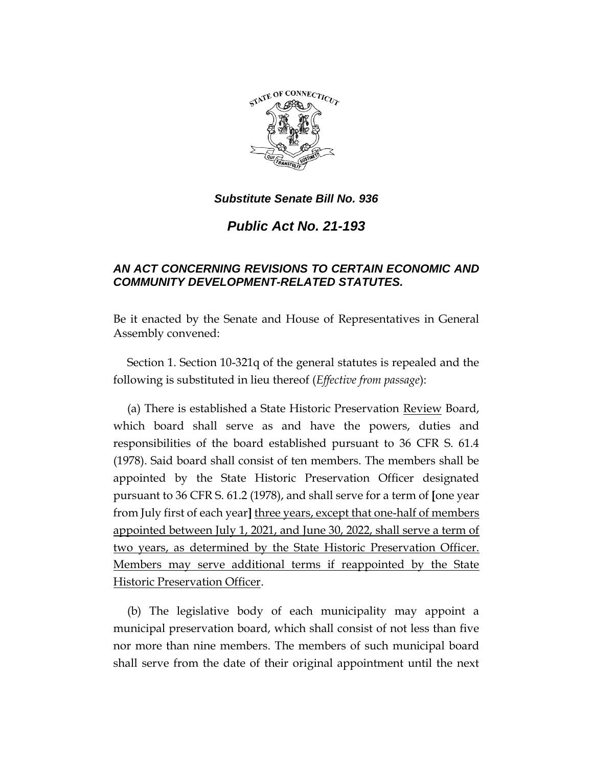

*Public Act No. 21-193*

# *AN ACT CONCERNING REVISIONS TO CERTAIN ECONOMIC AND COMMUNITY DEVELOPMENT-RELATED STATUTES.*

Be it enacted by the Senate and House of Representatives in General Assembly convened:

Section 1. Section 10-321q of the general statutes is repealed and the following is substituted in lieu thereof (*Effective from passage*):

(a) There is established a State Historic Preservation Review Board, which board shall serve as and have the powers, duties and responsibilities of the board established pursuant to 36 CFR S. 61.4 (1978). Said board shall consist of ten members. The members shall be appointed by the State Historic Preservation Officer designated pursuant to 36 CFR S. 61.2 (1978), and shall serve for a term of **[**one year from July first of each year**]** three years, except that one-half of members appointed between July 1, 2021, and June 30, 2022, shall serve a term of two years, as determined by the State Historic Preservation Officer. Members may serve additional terms if reappointed by the State Historic Preservation Officer.

(b) The legislative body of each municipality may appoint a municipal preservation board, which shall consist of not less than five nor more than nine members. The members of such municipal board shall serve from the date of their original appointment until the next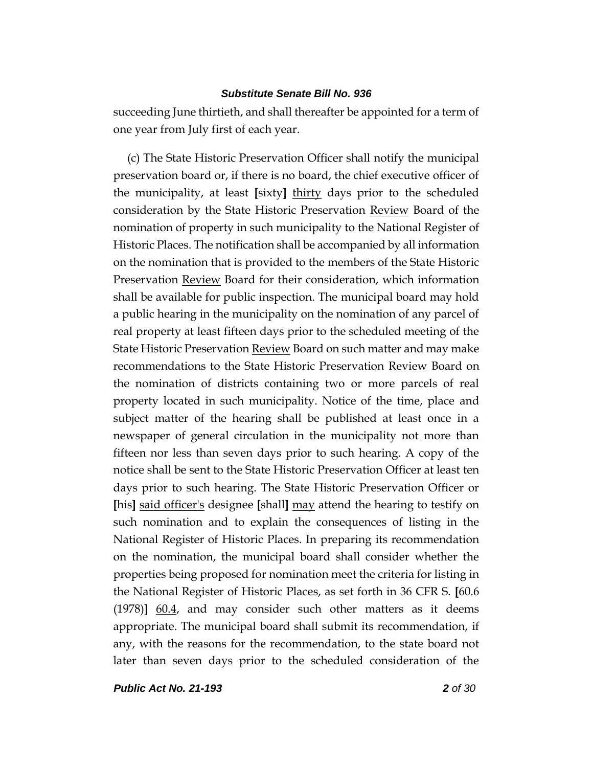succeeding June thirtieth, and shall thereafter be appointed for a term of one year from July first of each year.

(c) The State Historic Preservation Officer shall notify the municipal preservation board or, if there is no board, the chief executive officer of the municipality, at least **[**sixty**]** thirty days prior to the scheduled consideration by the State Historic Preservation **Review** Board of the nomination of property in such municipality to the National Register of Historic Places. The notification shall be accompanied by all information on the nomination that is provided to the members of the State Historic Preservation Review Board for their consideration, which information shall be available for public inspection. The municipal board may hold a public hearing in the municipality on the nomination of any parcel of real property at least fifteen days prior to the scheduled meeting of the State Historic Preservation <u>Review</u> Board on such matter and may make recommendations to the State Historic Preservation Review Board on the nomination of districts containing two or more parcels of real property located in such municipality. Notice of the time, place and subject matter of the hearing shall be published at least once in a newspaper of general circulation in the municipality not more than fifteen nor less than seven days prior to such hearing. A copy of the notice shall be sent to the State Historic Preservation Officer at least ten days prior to such hearing. The State Historic Preservation Officer or **[**his**]** said officer's designee **[**shall**]** may attend the hearing to testify on such nomination and to explain the consequences of listing in the National Register of Historic Places. In preparing its recommendation on the nomination, the municipal board shall consider whether the properties being proposed for nomination meet the criteria for listing in the National Register of Historic Places, as set forth in 36 CFR S. **[**60.6 (1978)**]** 60.4, and may consider such other matters as it deems appropriate. The municipal board shall submit its recommendation, if any, with the reasons for the recommendation, to the state board not later than seven days prior to the scheduled consideration of the

*Public Act No. 21-193 2 of 30*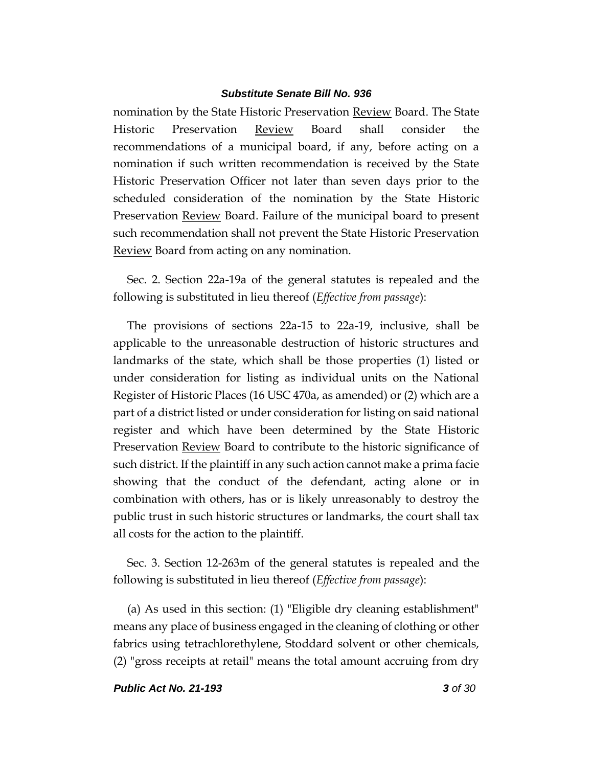nomination by the State Historic Preservation Review Board. The State Historic Preservation Review Board shall consider the recommendations of a municipal board, if any, before acting on a nomination if such written recommendation is received by the State Historic Preservation Officer not later than seven days prior to the scheduled consideration of the nomination by the State Historic Preservation Review Board. Failure of the municipal board to present such recommendation shall not prevent the State Historic Preservation Review Board from acting on any nomination.

Sec. 2. Section 22a-19a of the general statutes is repealed and the following is substituted in lieu thereof (*Effective from passage*):

The provisions of sections 22a-15 to 22a-19, inclusive, shall be applicable to the unreasonable destruction of historic structures and landmarks of the state, which shall be those properties (1) listed or under consideration for listing as individual units on the National Register of Historic Places (16 USC 470a, as amended) or (2) which are a part of a district listed or under consideration for listing on said national register and which have been determined by the State Historic Preservation Review Board to contribute to the historic significance of such district. If the plaintiff in any such action cannot make a prima facie showing that the conduct of the defendant, acting alone or in combination with others, has or is likely unreasonably to destroy the public trust in such historic structures or landmarks, the court shall tax all costs for the action to the plaintiff.

Sec. 3. Section 12-263m of the general statutes is repealed and the following is substituted in lieu thereof (*Effective from passage*):

(a) As used in this section: (1) "Eligible dry cleaning establishment" means any place of business engaged in the cleaning of clothing or other fabrics using tetrachlorethylene, Stoddard solvent or other chemicals, (2) "gross receipts at retail" means the total amount accruing from dry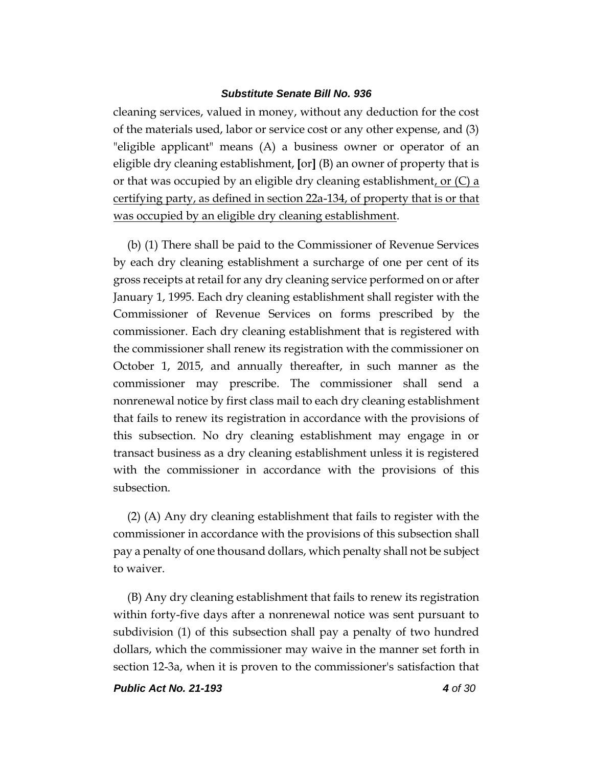cleaning services, valued in money, without any deduction for the cost of the materials used, labor or service cost or any other expense, and (3) "eligible applicant" means (A) a business owner or operator of an eligible dry cleaning establishment, **[**or**]** (B) an owner of property that is or that was occupied by an eligible dry cleaning establishment, or  $(C)$  a certifying party, as defined in section 22a-134, of property that is or that was occupied by an eligible dry cleaning establishment.

(b) (1) There shall be paid to the Commissioner of Revenue Services by each dry cleaning establishment a surcharge of one per cent of its gross receipts at retail for any dry cleaning service performed on or after January 1, 1995. Each dry cleaning establishment shall register with the Commissioner of Revenue Services on forms prescribed by the commissioner. Each dry cleaning establishment that is registered with the commissioner shall renew its registration with the commissioner on October 1, 2015, and annually thereafter, in such manner as the commissioner may prescribe. The commissioner shall send a nonrenewal notice by first class mail to each dry cleaning establishment that fails to renew its registration in accordance with the provisions of this subsection. No dry cleaning establishment may engage in or transact business as a dry cleaning establishment unless it is registered with the commissioner in accordance with the provisions of this subsection.

(2) (A) Any dry cleaning establishment that fails to register with the commissioner in accordance with the provisions of this subsection shall pay a penalty of one thousand dollars, which penalty shall not be subject to waiver.

(B) Any dry cleaning establishment that fails to renew its registration within forty-five days after a nonrenewal notice was sent pursuant to subdivision (1) of this subsection shall pay a penalty of two hundred dollars, which the commissioner may waive in the manner set forth in section 12-3a, when it is proven to the commissioner's satisfaction that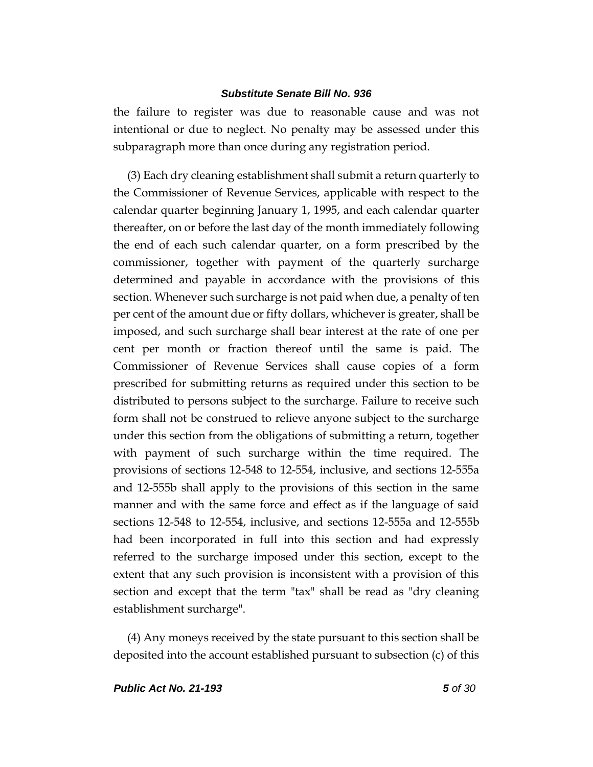the failure to register was due to reasonable cause and was not intentional or due to neglect. No penalty may be assessed under this subparagraph more than once during any registration period.

(3) Each dry cleaning establishment shall submit a return quarterly to the Commissioner of Revenue Services, applicable with respect to the calendar quarter beginning January 1, 1995, and each calendar quarter thereafter, on or before the last day of the month immediately following the end of each such calendar quarter, on a form prescribed by the commissioner, together with payment of the quarterly surcharge determined and payable in accordance with the provisions of this section. Whenever such surcharge is not paid when due, a penalty of ten per cent of the amount due or fifty dollars, whichever is greater, shall be imposed, and such surcharge shall bear interest at the rate of one per cent per month or fraction thereof until the same is paid. The Commissioner of Revenue Services shall cause copies of a form prescribed for submitting returns as required under this section to be distributed to persons subject to the surcharge. Failure to receive such form shall not be construed to relieve anyone subject to the surcharge under this section from the obligations of submitting a return, together with payment of such surcharge within the time required. The provisions of sections 12-548 to 12-554, inclusive, and sections 12-555a and 12-555b shall apply to the provisions of this section in the same manner and with the same force and effect as if the language of said sections 12-548 to 12-554, inclusive, and sections 12-555a and 12-555b had been incorporated in full into this section and had expressly referred to the surcharge imposed under this section, except to the extent that any such provision is inconsistent with a provision of this section and except that the term "tax" shall be read as "dry cleaning establishment surcharge".

(4) Any moneys received by the state pursuant to this section shall be deposited into the account established pursuant to subsection (c) of this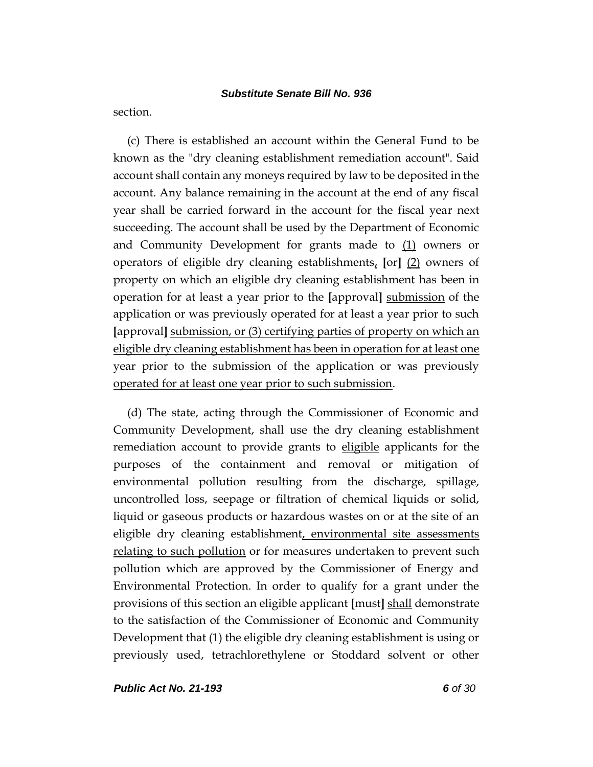section.

(c) There is established an account within the General Fund to be known as the "dry cleaning establishment remediation account". Said account shall contain any moneys required by law to be deposited in the account. Any balance remaining in the account at the end of any fiscal year shall be carried forward in the account for the fiscal year next succeeding. The account shall be used by the Department of Economic and Community Development for grants made to  $(1)$  owners or operators of eligible dry cleaning establishments, **[**or**]** (2) owners of property on which an eligible dry cleaning establishment has been in operation for at least a year prior to the **[**approval**]** submission of the application or was previously operated for at least a year prior to such **[**approval**]** submission, or (3) certifying parties of property on which an eligible dry cleaning establishment has been in operation for at least one year prior to the submission of the application or was previously operated for at least one year prior to such submission.

(d) The state, acting through the Commissioner of Economic and Community Development, shall use the dry cleaning establishment remediation account to provide grants to eligible applicants for the purposes of the containment and removal or mitigation of environmental pollution resulting from the discharge, spillage, uncontrolled loss, seepage or filtration of chemical liquids or solid, liquid or gaseous products or hazardous wastes on or at the site of an eligible dry cleaning establishment, environmental site assessments relating to such pollution or for measures undertaken to prevent such pollution which are approved by the Commissioner of Energy and Environmental Protection. In order to qualify for a grant under the provisions of this section an eligible applicant **[**must**]** shall demonstrate to the satisfaction of the Commissioner of Economic and Community Development that (1) the eligible dry cleaning establishment is using or previously used, tetrachlorethylene or Stoddard solvent or other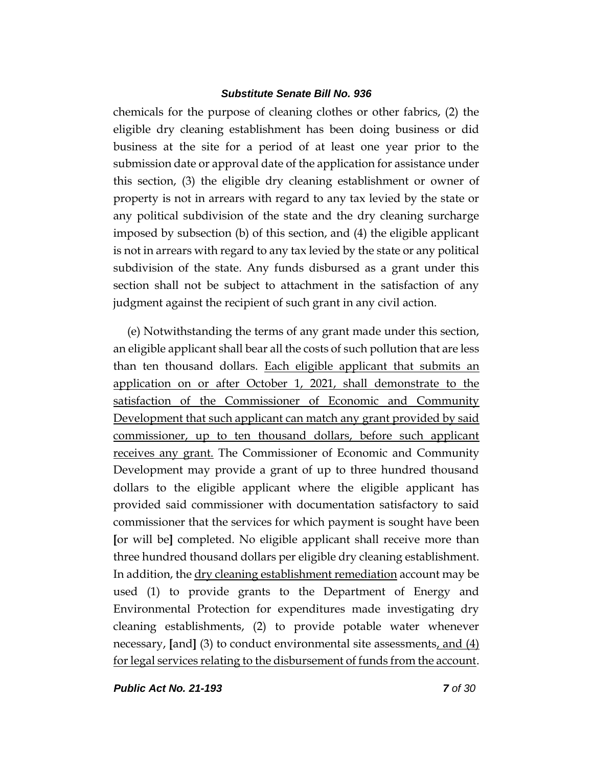chemicals for the purpose of cleaning clothes or other fabrics, (2) the eligible dry cleaning establishment has been doing business or did business at the site for a period of at least one year prior to the submission date or approval date of the application for assistance under this section, (3) the eligible dry cleaning establishment or owner of property is not in arrears with regard to any tax levied by the state or any political subdivision of the state and the dry cleaning surcharge imposed by subsection (b) of this section, and (4) the eligible applicant is not in arrears with regard to any tax levied by the state or any political subdivision of the state. Any funds disbursed as a grant under this section shall not be subject to attachment in the satisfaction of any judgment against the recipient of such grant in any civil action.

(e) Notwithstanding the terms of any grant made under this section, an eligible applicant shall bear all the costs of such pollution that are less than ten thousand dollars. Each eligible applicant that submits an application on or after October 1, 2021, shall demonstrate to the satisfaction of the Commissioner of Economic and Community Development that such applicant can match any grant provided by said commissioner, up to ten thousand dollars, before such applicant receives any grant. The Commissioner of Economic and Community Development may provide a grant of up to three hundred thousand dollars to the eligible applicant where the eligible applicant has provided said commissioner with documentation satisfactory to said commissioner that the services for which payment is sought have been **[**or will be**]** completed. No eligible applicant shall receive more than three hundred thousand dollars per eligible dry cleaning establishment. In addition, the dry cleaning establishment remediation account may be used (1) to provide grants to the Department of Energy and Environmental Protection for expenditures made investigating dry cleaning establishments, (2) to provide potable water whenever necessary, **[**and**]** (3) to conduct environmental site assessments, and (4) for legal services relating to the disbursement of funds from the account.

*Public Act No. 21-193 7 of 30*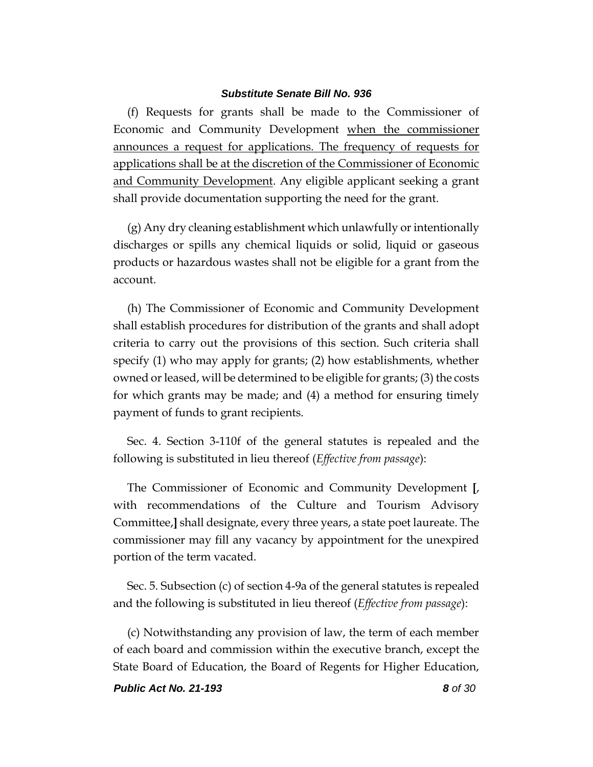(f) Requests for grants shall be made to the Commissioner of Economic and Community Development when the commissioner announces a request for applications. The frequency of requests for applications shall be at the discretion of the Commissioner of Economic and Community Development. Any eligible applicant seeking a grant shall provide documentation supporting the need for the grant.

(g) Any dry cleaning establishment which unlawfully or intentionally discharges or spills any chemical liquids or solid, liquid or gaseous products or hazardous wastes shall not be eligible for a grant from the account.

(h) The Commissioner of Economic and Community Development shall establish procedures for distribution of the grants and shall adopt criteria to carry out the provisions of this section. Such criteria shall specify (1) who may apply for grants; (2) how establishments, whether owned or leased, will be determined to be eligible for grants; (3) the costs for which grants may be made; and (4) a method for ensuring timely payment of funds to grant recipients.

Sec. 4. Section 3-110f of the general statutes is repealed and the following is substituted in lieu thereof (*Effective from passage*):

The Commissioner of Economic and Community Development **[**, with recommendations of the Culture and Tourism Advisory Committee,**]** shall designate, every three years, a state poet laureate. The commissioner may fill any vacancy by appointment for the unexpired portion of the term vacated.

Sec. 5. Subsection (c) of section 4-9a of the general statutes is repealed and the following is substituted in lieu thereof (*Effective from passage*):

(c) Notwithstanding any provision of law, the term of each member of each board and commission within the executive branch, except the State Board of Education, the Board of Regents for Higher Education,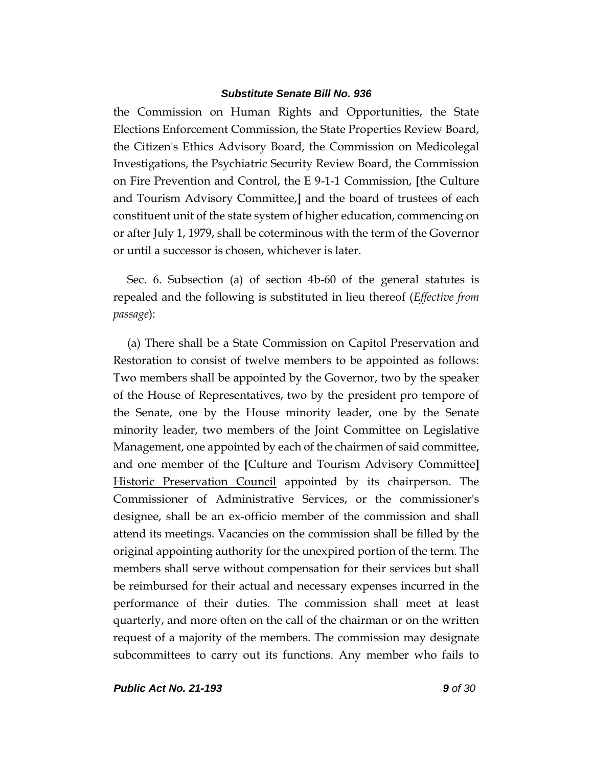the Commission on Human Rights and Opportunities, the State Elections Enforcement Commission, the State Properties Review Board, the Citizen's Ethics Advisory Board, the Commission on Medicolegal Investigations, the Psychiatric Security Review Board, the Commission on Fire Prevention and Control, the E 9-1-1 Commission, **[**the Culture and Tourism Advisory Committee,**]** and the board of trustees of each constituent unit of the state system of higher education, commencing on or after July 1, 1979, shall be coterminous with the term of the Governor or until a successor is chosen, whichever is later.

Sec. 6. Subsection (a) of section 4b-60 of the general statutes is repealed and the following is substituted in lieu thereof (*Effective from passage*):

(a) There shall be a State Commission on Capitol Preservation and Restoration to consist of twelve members to be appointed as follows: Two members shall be appointed by the Governor, two by the speaker of the House of Representatives, two by the president pro tempore of the Senate, one by the House minority leader, one by the Senate minority leader, two members of the Joint Committee on Legislative Management, one appointed by each of the chairmen of said committee, and one member of the **[**Culture and Tourism Advisory Committee**]** Historic Preservation Council appointed by its chairperson. The Commissioner of Administrative Services, or the commissioner's designee, shall be an ex-officio member of the commission and shall attend its meetings. Vacancies on the commission shall be filled by the original appointing authority for the unexpired portion of the term. The members shall serve without compensation for their services but shall be reimbursed for their actual and necessary expenses incurred in the performance of their duties. The commission shall meet at least quarterly, and more often on the call of the chairman or on the written request of a majority of the members. The commission may designate subcommittees to carry out its functions. Any member who fails to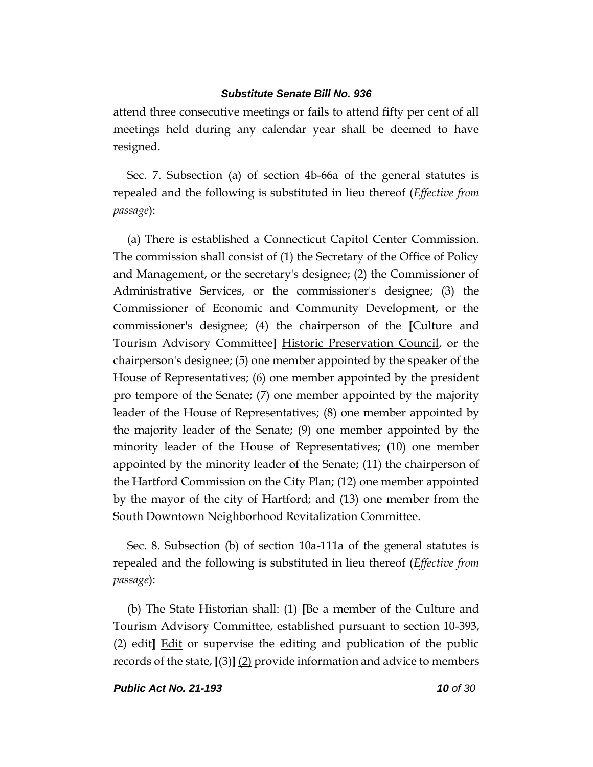attend three consecutive meetings or fails to attend fifty per cent of all meetings held during any calendar year shall be deemed to have resigned.

Sec. 7. Subsection (a) of section 4b-66a of the general statutes is repealed and the following is substituted in lieu thereof (*Effective from passage*):

(a) There is established a Connecticut Capitol Center Commission. The commission shall consist of (1) the Secretary of the Office of Policy and Management, or the secretary's designee; (2) the Commissioner of Administrative Services, or the commissioner's designee; (3) the Commissioner of Economic and Community Development, or the commissioner's designee; (4) the chairperson of the **[**Culture and Tourism Advisory Committee**]** Historic Preservation Council, or the chairperson's designee; (5) one member appointed by the speaker of the House of Representatives; (6) one member appointed by the president pro tempore of the Senate; (7) one member appointed by the majority leader of the House of Representatives; (8) one member appointed by the majority leader of the Senate; (9) one member appointed by the minority leader of the House of Representatives; (10) one member appointed by the minority leader of the Senate; (11) the chairperson of the Hartford Commission on the City Plan; (12) one member appointed by the mayor of the city of Hartford; and (13) one member from the South Downtown Neighborhood Revitalization Committee.

Sec. 8. Subsection (b) of section 10a-111a of the general statutes is repealed and the following is substituted in lieu thereof (*Effective from passage*):

(b) The State Historian shall: (1) **[**Be a member of the Culture and Tourism Advisory Committee, established pursuant to section 10-393, (2) edit**]** Edit or supervise the editing and publication of the public records of the state, **[**(3)**]** (2) provide information and advice to members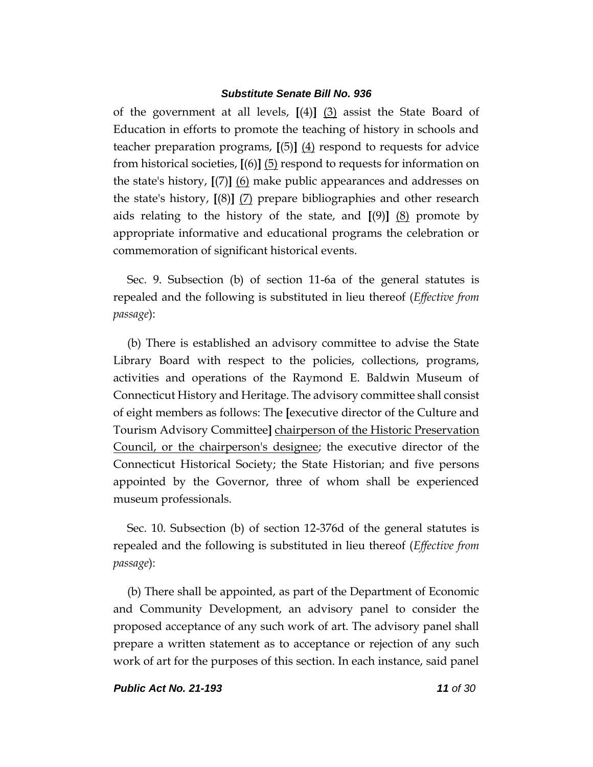of the government at all levels, **[**(4)**]** (3) assist the State Board of Education in efforts to promote the teaching of history in schools and teacher preparation programs, **[**(5)**]** (4) respond to requests for advice from historical societies, **[**(6)**]** (5) respond to requests for information on the state's history, **[**(7)**]** (6) make public appearances and addresses on the state's history, **[**(8)**]** (7) prepare bibliographies and other research aids relating to the history of the state, and **[**(9)**]** (8) promote by appropriate informative and educational programs the celebration or commemoration of significant historical events.

Sec. 9. Subsection (b) of section 11-6a of the general statutes is repealed and the following is substituted in lieu thereof (*Effective from passage*):

(b) There is established an advisory committee to advise the State Library Board with respect to the policies, collections, programs, activities and operations of the Raymond E. Baldwin Museum of Connecticut History and Heritage. The advisory committee shall consist of eight members as follows: The **[**executive director of the Culture and Tourism Advisory Committee**]** chairperson of the Historic Preservation Council, or the chairperson's designee; the executive director of the Connecticut Historical Society; the State Historian; and five persons appointed by the Governor, three of whom shall be experienced museum professionals.

Sec. 10. Subsection (b) of section 12-376d of the general statutes is repealed and the following is substituted in lieu thereof (*Effective from passage*):

(b) There shall be appointed, as part of the Department of Economic and Community Development, an advisory panel to consider the proposed acceptance of any such work of art. The advisory panel shall prepare a written statement as to acceptance or rejection of any such work of art for the purposes of this section. In each instance, said panel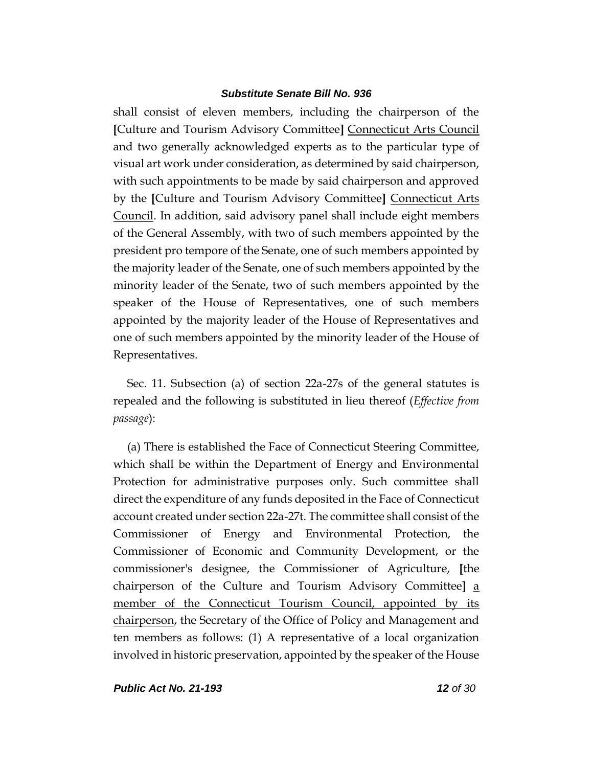shall consist of eleven members, including the chairperson of the **[**Culture and Tourism Advisory Committee**]** Connecticut Arts Council and two generally acknowledged experts as to the particular type of visual art work under consideration, as determined by said chairperson, with such appointments to be made by said chairperson and approved by the **[**Culture and Tourism Advisory Committee**]** Connecticut Arts Council. In addition, said advisory panel shall include eight members of the General Assembly, with two of such members appointed by the president pro tempore of the Senate, one of such members appointed by the majority leader of the Senate, one of such members appointed by the minority leader of the Senate, two of such members appointed by the speaker of the House of Representatives, one of such members appointed by the majority leader of the House of Representatives and one of such members appointed by the minority leader of the House of Representatives.

Sec. 11. Subsection (a) of section 22a-27s of the general statutes is repealed and the following is substituted in lieu thereof (*Effective from passage*):

(a) There is established the Face of Connecticut Steering Committee, which shall be within the Department of Energy and Environmental Protection for administrative purposes only. Such committee shall direct the expenditure of any funds deposited in the Face of Connecticut account created under section 22a-27t. The committee shall consist of the Commissioner of Energy and Environmental Protection, the Commissioner of Economic and Community Development, or the commissioner's designee, the Commissioner of Agriculture, **[**the chairperson of the Culture and Tourism Advisory Committee**]** a member of the Connecticut Tourism Council, appointed by its chairperson, the Secretary of the Office of Policy and Management and ten members as follows: (1) A representative of a local organization involved in historic preservation, appointed by the speaker of the House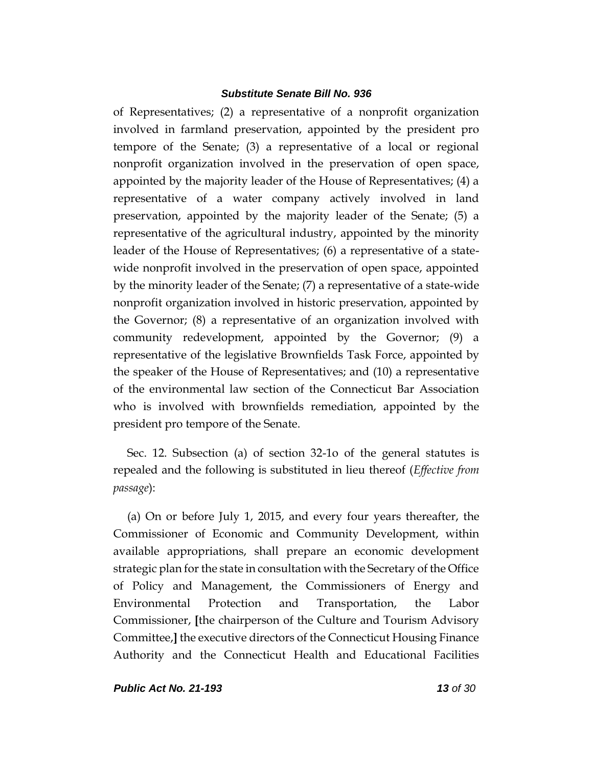of Representatives; (2) a representative of a nonprofit organization involved in farmland preservation, appointed by the president pro tempore of the Senate; (3) a representative of a local or regional nonprofit organization involved in the preservation of open space, appointed by the majority leader of the House of Representatives; (4) a representative of a water company actively involved in land preservation, appointed by the majority leader of the Senate; (5) a representative of the agricultural industry, appointed by the minority leader of the House of Representatives; (6) a representative of a statewide nonprofit involved in the preservation of open space, appointed by the minority leader of the Senate; (7) a representative of a state-wide nonprofit organization involved in historic preservation, appointed by the Governor; (8) a representative of an organization involved with community redevelopment, appointed by the Governor; (9) a representative of the legislative Brownfields Task Force, appointed by the speaker of the House of Representatives; and (10) a representative of the environmental law section of the Connecticut Bar Association who is involved with brownfields remediation, appointed by the president pro tempore of the Senate.

Sec. 12. Subsection (a) of section 32-1o of the general statutes is repealed and the following is substituted in lieu thereof (*Effective from passage*):

(a) On or before July 1, 2015, and every four years thereafter, the Commissioner of Economic and Community Development, within available appropriations, shall prepare an economic development strategic plan for the state in consultation with the Secretary of the Office of Policy and Management, the Commissioners of Energy and Environmental Protection and Transportation, the Labor Commissioner, **[**the chairperson of the Culture and Tourism Advisory Committee,**]** the executive directors of the Connecticut Housing Finance Authority and the Connecticut Health and Educational Facilities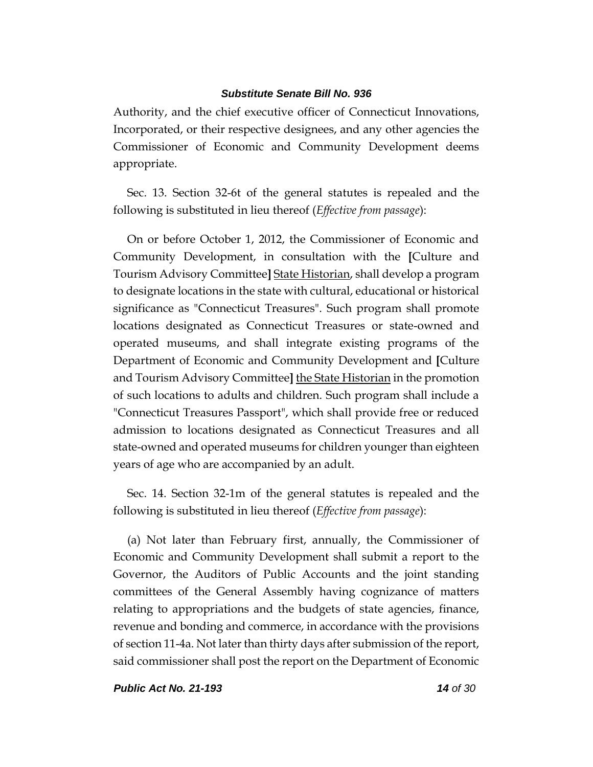Authority, and the chief executive officer of Connecticut Innovations, Incorporated, or their respective designees, and any other agencies the Commissioner of Economic and Community Development deems appropriate.

Sec. 13. Section 32-6t of the general statutes is repealed and the following is substituted in lieu thereof (*Effective from passage*):

On or before October 1, 2012, the Commissioner of Economic and Community Development, in consultation with the **[**Culture and Tourism Advisory Committee**]** State Historian, shall develop a program to designate locations in the state with cultural, educational or historical significance as "Connecticut Treasures". Such program shall promote locations designated as Connecticut Treasures or state-owned and operated museums, and shall integrate existing programs of the Department of Economic and Community Development and **[**Culture and Tourism Advisory Committee**]** the State Historian in the promotion of such locations to adults and children. Such program shall include a "Connecticut Treasures Passport", which shall provide free or reduced admission to locations designated as Connecticut Treasures and all state-owned and operated museums for children younger than eighteen years of age who are accompanied by an adult.

Sec. 14. Section 32-1m of the general statutes is repealed and the following is substituted in lieu thereof (*Effective from passage*):

(a) Not later than February first, annually, the Commissioner of Economic and Community Development shall submit a report to the Governor, the Auditors of Public Accounts and the joint standing committees of the General Assembly having cognizance of matters relating to appropriations and the budgets of state agencies, finance, revenue and bonding and commerce, in accordance with the provisions of section 11-4a. Not later than thirty days after submission of the report, said commissioner shall post the report on the Department of Economic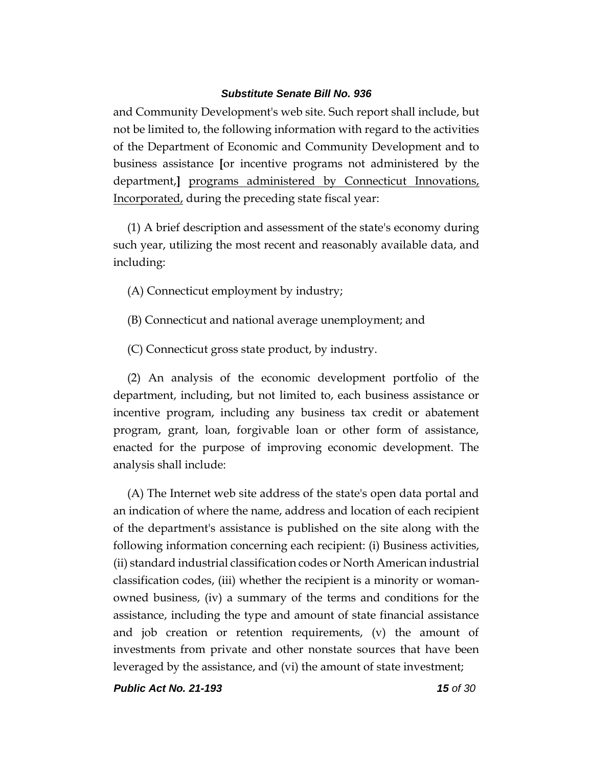and Community Development's web site. Such report shall include, but not be limited to, the following information with regard to the activities of the Department of Economic and Community Development and to business assistance **[**or incentive programs not administered by the department,**]** programs administered by Connecticut Innovations, Incorporated, during the preceding state fiscal year:

(1) A brief description and assessment of the state's economy during such year, utilizing the most recent and reasonably available data, and including:

(A) Connecticut employment by industry;

- (B) Connecticut and national average unemployment; and
- (C) Connecticut gross state product, by industry.

(2) An analysis of the economic development portfolio of the department, including, but not limited to, each business assistance or incentive program, including any business tax credit or abatement program, grant, loan, forgivable loan or other form of assistance, enacted for the purpose of improving economic development. The analysis shall include:

(A) The Internet web site address of the state's open data portal and an indication of where the name, address and location of each recipient of the department's assistance is published on the site along with the following information concerning each recipient: (i) Business activities, (ii) standard industrial classification codes or North American industrial classification codes, (iii) whether the recipient is a minority or womanowned business, (iv) a summary of the terms and conditions for the assistance, including the type and amount of state financial assistance and job creation or retention requirements, (v) the amount of investments from private and other nonstate sources that have been leveraged by the assistance, and (vi) the amount of state investment;

*Public Act No. 21-193 15 of 30*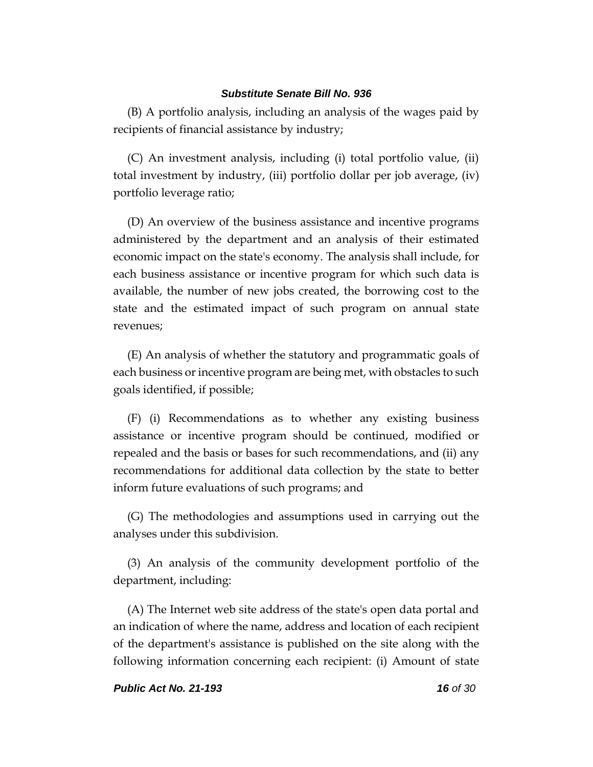(B) A portfolio analysis, including an analysis of the wages paid by recipients of financial assistance by industry;

(C) An investment analysis, including (i) total portfolio value, (ii) total investment by industry, (iii) portfolio dollar per job average, (iv) portfolio leverage ratio;

(D) An overview of the business assistance and incentive programs administered by the department and an analysis of their estimated economic impact on the state's economy. The analysis shall include, for each business assistance or incentive program for which such data is available, the number of new jobs created, the borrowing cost to the state and the estimated impact of such program on annual state revenues;

(E) An analysis of whether the statutory and programmatic goals of each business or incentive program are being met, with obstacles to such goals identified, if possible;

(F) (i) Recommendations as to whether any existing business assistance or incentive program should be continued, modified or repealed and the basis or bases for such recommendations, and (ii) any recommendations for additional data collection by the state to better inform future evaluations of such programs; and

(G) The methodologies and assumptions used in carrying out the analyses under this subdivision.

(3) An analysis of the community development portfolio of the department, including:

(A) The Internet web site address of the state's open data portal and an indication of where the name, address and location of each recipient of the department's assistance is published on the site along with the following information concerning each recipient: (i) Amount of state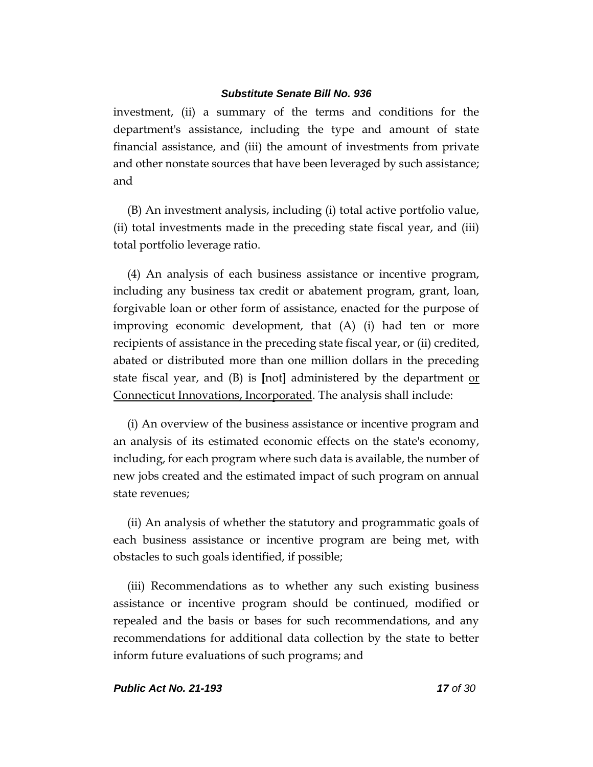investment, (ii) a summary of the terms and conditions for the department's assistance, including the type and amount of state financial assistance, and (iii) the amount of investments from private and other nonstate sources that have been leveraged by such assistance; and

(B) An investment analysis, including (i) total active portfolio value, (ii) total investments made in the preceding state fiscal year, and (iii) total portfolio leverage ratio.

(4) An analysis of each business assistance or incentive program, including any business tax credit or abatement program, grant, loan, forgivable loan or other form of assistance, enacted for the purpose of improving economic development, that (A) (i) had ten or more recipients of assistance in the preceding state fiscal year, or (ii) credited, abated or distributed more than one million dollars in the preceding state fiscal year, and (B) is **[**not**]** administered by the department or Connecticut Innovations, Incorporated. The analysis shall include:

(i) An overview of the business assistance or incentive program and an analysis of its estimated economic effects on the state's economy, including, for each program where such data is available, the number of new jobs created and the estimated impact of such program on annual state revenues;

(ii) An analysis of whether the statutory and programmatic goals of each business assistance or incentive program are being met, with obstacles to such goals identified, if possible;

(iii) Recommendations as to whether any such existing business assistance or incentive program should be continued, modified or repealed and the basis or bases for such recommendations, and any recommendations for additional data collection by the state to better inform future evaluations of such programs; and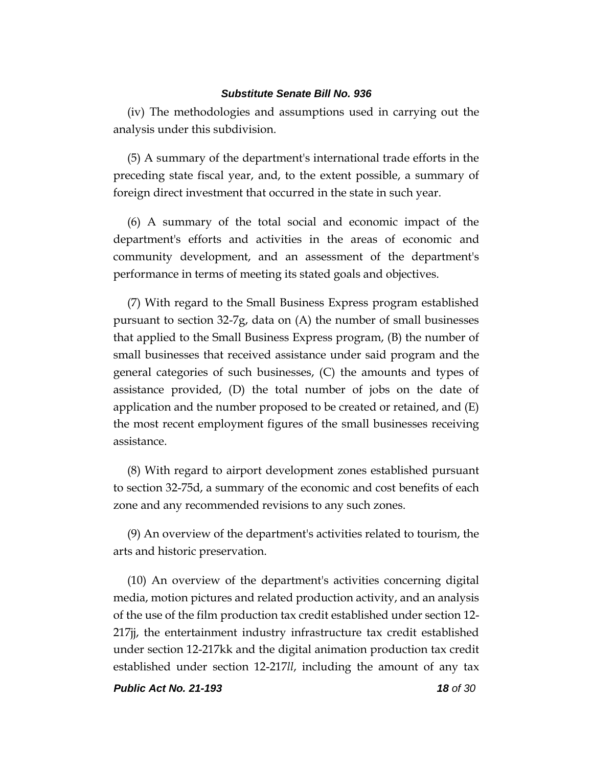(iv) The methodologies and assumptions used in carrying out the analysis under this subdivision.

(5) A summary of the department's international trade efforts in the preceding state fiscal year, and, to the extent possible, a summary of foreign direct investment that occurred in the state in such year.

(6) A summary of the total social and economic impact of the department's efforts and activities in the areas of economic and community development, and an assessment of the department's performance in terms of meeting its stated goals and objectives.

(7) With regard to the Small Business Express program established pursuant to section 32-7g, data on (A) the number of small businesses that applied to the Small Business Express program, (B) the number of small businesses that received assistance under said program and the general categories of such businesses, (C) the amounts and types of assistance provided, (D) the total number of jobs on the date of application and the number proposed to be created or retained, and (E) the most recent employment figures of the small businesses receiving assistance.

(8) With regard to airport development zones established pursuant to section 32-75d, a summary of the economic and cost benefits of each zone and any recommended revisions to any such zones.

(9) An overview of the department's activities related to tourism, the arts and historic preservation.

(10) An overview of the department's activities concerning digital media, motion pictures and related production activity, and an analysis of the use of the film production tax credit established under section 12- 217jj, the entertainment industry infrastructure tax credit established under section 12-217kk and the digital animation production tax credit established under section 12-217*ll*, including the amount of any tax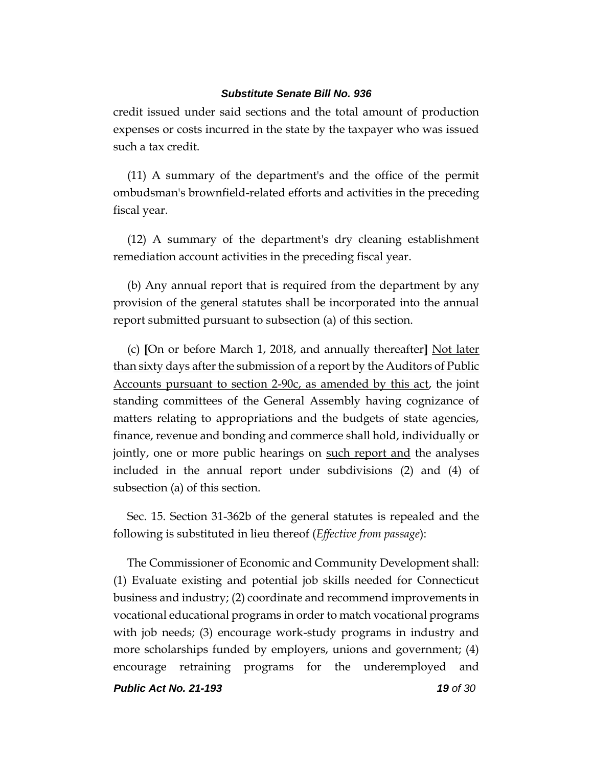credit issued under said sections and the total amount of production expenses or costs incurred in the state by the taxpayer who was issued such a tax credit.

(11) A summary of the department's and the office of the permit ombudsman's brownfield-related efforts and activities in the preceding fiscal year.

(12) A summary of the department's dry cleaning establishment remediation account activities in the preceding fiscal year.

(b) Any annual report that is required from the department by any provision of the general statutes shall be incorporated into the annual report submitted pursuant to subsection (a) of this section.

(c) **[**On or before March 1, 2018, and annually thereafter**]** Not later than sixty days after the submission of a report by the Auditors of Public Accounts pursuant to section 2-90c, as amended by this act, the joint standing committees of the General Assembly having cognizance of matters relating to appropriations and the budgets of state agencies, finance, revenue and bonding and commerce shall hold, individually or jointly, one or more public hearings on such report and the analyses included in the annual report under subdivisions (2) and (4) of subsection (a) of this section.

Sec. 15. Section 31-362b of the general statutes is repealed and the following is substituted in lieu thereof (*Effective from passage*):

The Commissioner of Economic and Community Development shall: (1) Evaluate existing and potential job skills needed for Connecticut business and industry; (2) coordinate and recommend improvements in vocational educational programs in order to match vocational programs with job needs; (3) encourage work-study programs in industry and more scholarships funded by employers, unions and government; (4) encourage retraining programs for the underemployed and

*Public Act No. 21-193 19 of 30*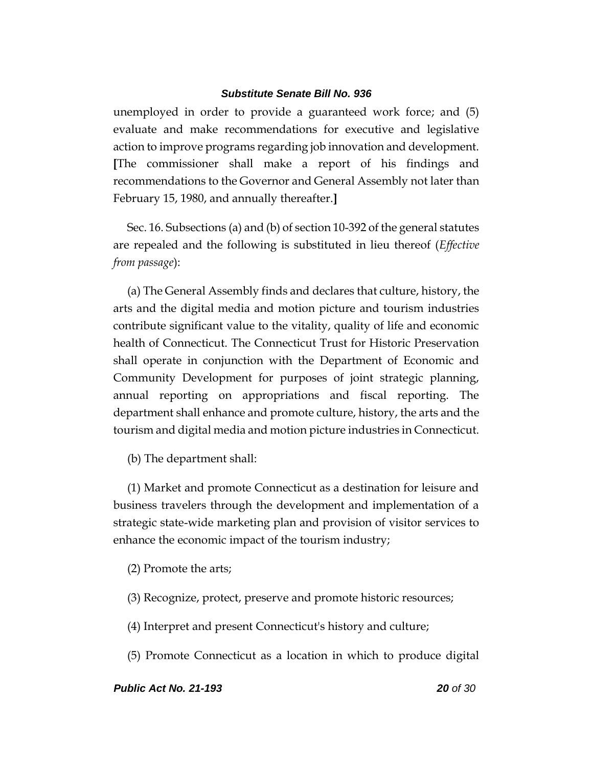unemployed in order to provide a guaranteed work force; and (5) evaluate and make recommendations for executive and legislative action to improve programs regarding job innovation and development. **[**The commissioner shall make a report of his findings and recommendations to the Governor and General Assembly not later than February 15, 1980, and annually thereafter.**]**

Sec. 16. Subsections (a) and (b) of section 10-392 of the general statutes are repealed and the following is substituted in lieu thereof (*Effective from passage*):

(a) The General Assembly finds and declares that culture, history, the arts and the digital media and motion picture and tourism industries contribute significant value to the vitality, quality of life and economic health of Connecticut. The Connecticut Trust for Historic Preservation shall operate in conjunction with the Department of Economic and Community Development for purposes of joint strategic planning, annual reporting on appropriations and fiscal reporting. The department shall enhance and promote culture, history, the arts and the tourism and digital media and motion picture industries in Connecticut.

(b) The department shall:

(1) Market and promote Connecticut as a destination for leisure and business travelers through the development and implementation of a strategic state-wide marketing plan and provision of visitor services to enhance the economic impact of the tourism industry;

(2) Promote the arts;

- (3) Recognize, protect, preserve and promote historic resources;
- (4) Interpret and present Connecticut's history and culture;
- (5) Promote Connecticut as a location in which to produce digital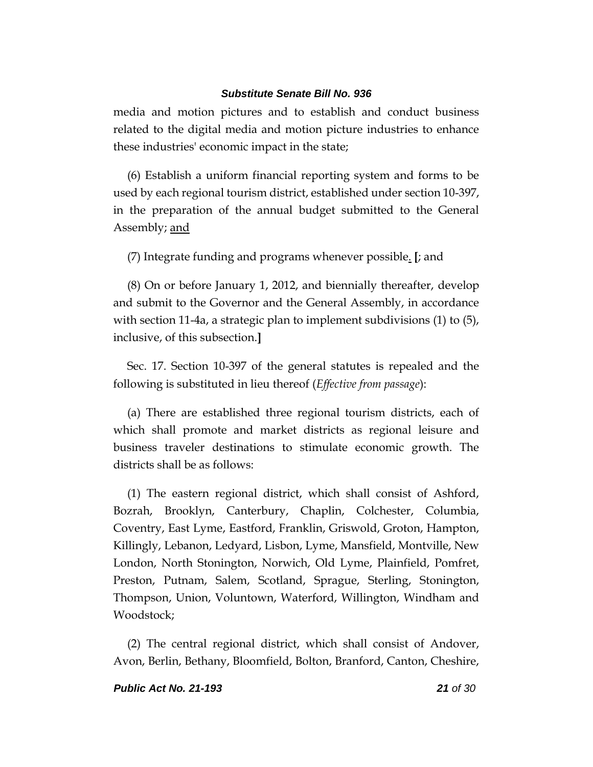media and motion pictures and to establish and conduct business related to the digital media and motion picture industries to enhance these industries' economic impact in the state;

(6) Establish a uniform financial reporting system and forms to be used by each regional tourism district, established under section 10-397, in the preparation of the annual budget submitted to the General Assembly; <u>and</u>

(7) Integrate funding and programs whenever possible. **[**; and

(8) On or before January 1, 2012, and biennially thereafter, develop and submit to the Governor and the General Assembly, in accordance with section 11-4a, a strategic plan to implement subdivisions (1) to (5), inclusive, of this subsection.**]**

Sec. 17. Section 10-397 of the general statutes is repealed and the following is substituted in lieu thereof (*Effective from passage*):

(a) There are established three regional tourism districts, each of which shall promote and market districts as regional leisure and business traveler destinations to stimulate economic growth. The districts shall be as follows:

(1) The eastern regional district, which shall consist of Ashford, Bozrah, Brooklyn, Canterbury, Chaplin, Colchester, Columbia, Coventry, East Lyme, Eastford, Franklin, Griswold, Groton, Hampton, Killingly, Lebanon, Ledyard, Lisbon, Lyme, Mansfield, Montville, New London, North Stonington, Norwich, Old Lyme, Plainfield, Pomfret, Preston, Putnam, Salem, Scotland, Sprague, Sterling, Stonington, Thompson, Union, Voluntown, Waterford, Willington, Windham and Woodstock;

(2) The central regional district, which shall consist of Andover, Avon, Berlin, Bethany, Bloomfield, Bolton, Branford, Canton, Cheshire,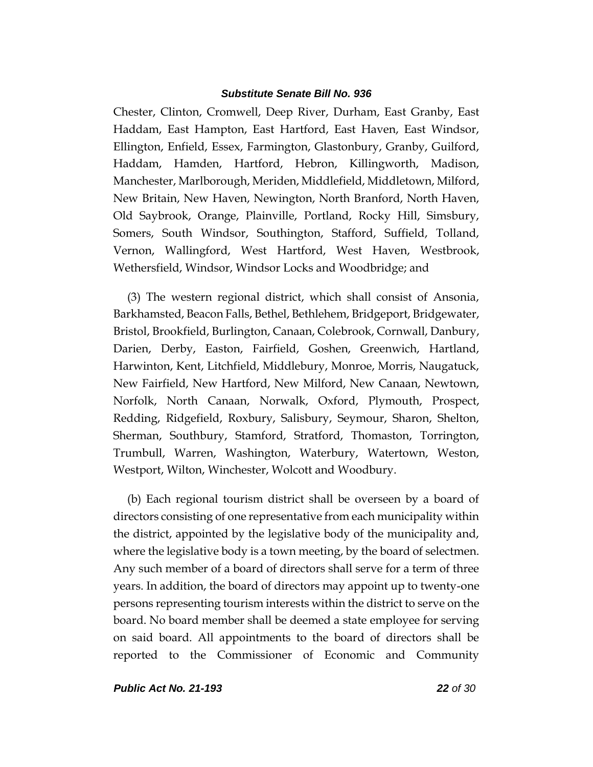Chester, Clinton, Cromwell, Deep River, Durham, East Granby, East Haddam, East Hampton, East Hartford, East Haven, East Windsor, Ellington, Enfield, Essex, Farmington, Glastonbury, Granby, Guilford, Haddam, Hamden, Hartford, Hebron, Killingworth, Madison, Manchester, Marlborough, Meriden, Middlefield, Middletown, Milford, New Britain, New Haven, Newington, North Branford, North Haven, Old Saybrook, Orange, Plainville, Portland, Rocky Hill, Simsbury, Somers, South Windsor, Southington, Stafford, Suffield, Tolland, Vernon, Wallingford, West Hartford, West Haven, Westbrook, Wethersfield, Windsor, Windsor Locks and Woodbridge; and

(3) The western regional district, which shall consist of Ansonia, Barkhamsted, Beacon Falls, Bethel, Bethlehem, Bridgeport, Bridgewater, Bristol, Brookfield, Burlington, Canaan, Colebrook, Cornwall, Danbury, Darien, Derby, Easton, Fairfield, Goshen, Greenwich, Hartland, Harwinton, Kent, Litchfield, Middlebury, Monroe, Morris, Naugatuck, New Fairfield, New Hartford, New Milford, New Canaan, Newtown, Norfolk, North Canaan, Norwalk, Oxford, Plymouth, Prospect, Redding, Ridgefield, Roxbury, Salisbury, Seymour, Sharon, Shelton, Sherman, Southbury, Stamford, Stratford, Thomaston, Torrington, Trumbull, Warren, Washington, Waterbury, Watertown, Weston, Westport, Wilton, Winchester, Wolcott and Woodbury.

(b) Each regional tourism district shall be overseen by a board of directors consisting of one representative from each municipality within the district, appointed by the legislative body of the municipality and, where the legislative body is a town meeting, by the board of selectmen. Any such member of a board of directors shall serve for a term of three years. In addition, the board of directors may appoint up to twenty-one persons representing tourism interests within the district to serve on the board. No board member shall be deemed a state employee for serving on said board. All appointments to the board of directors shall be reported to the Commissioner of Economic and Community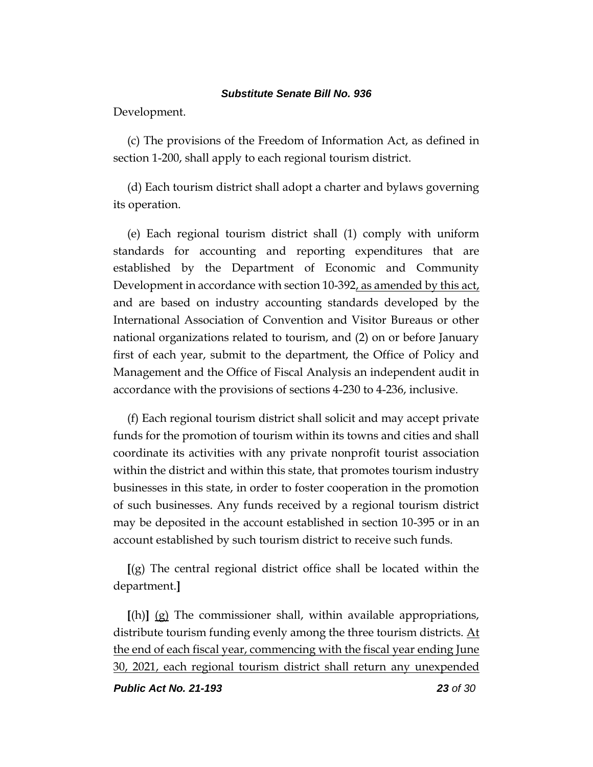Development.

(c) The provisions of the Freedom of Information Act, as defined in section 1-200, shall apply to each regional tourism district.

(d) Each tourism district shall adopt a charter and bylaws governing its operation.

(e) Each regional tourism district shall (1) comply with uniform standards for accounting and reporting expenditures that are established by the Department of Economic and Community Development in accordance with section 10-392, as amended by this act, and are based on industry accounting standards developed by the International Association of Convention and Visitor Bureaus or other national organizations related to tourism, and (2) on or before January first of each year, submit to the department, the Office of Policy and Management and the Office of Fiscal Analysis an independent audit in accordance with the provisions of sections 4-230 to 4-236, inclusive.

(f) Each regional tourism district shall solicit and may accept private funds for the promotion of tourism within its towns and cities and shall coordinate its activities with any private nonprofit tourist association within the district and within this state, that promotes tourism industry businesses in this state, in order to foster cooperation in the promotion of such businesses. Any funds received by a regional tourism district may be deposited in the account established in section 10-395 or in an account established by such tourism district to receive such funds.

**[**(g) The central regional district office shall be located within the department.**]**

**[**(h)**]** (g) The commissioner shall, within available appropriations, distribute tourism funding evenly among the three tourism districts. At the end of each fiscal year, commencing with the fiscal year ending June 30, 2021, each regional tourism district shall return any unexpended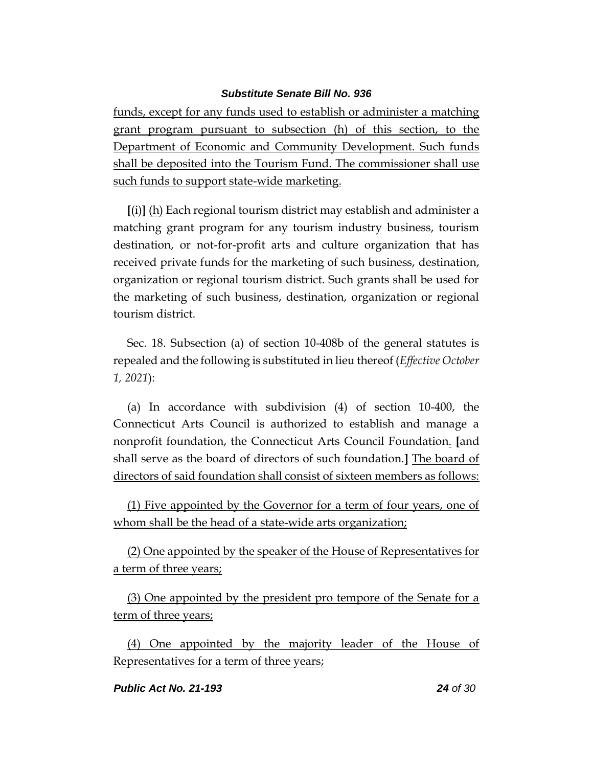funds, except for any funds used to establish or administer a matching grant program pursuant to subsection (h) of this section, to the Department of Economic and Community Development. Such funds shall be deposited into the Tourism Fund. The commissioner shall use such funds to support state-wide marketing.

**[**(i)**]** (h) Each regional tourism district may establish and administer a matching grant program for any tourism industry business, tourism destination, or not-for-profit arts and culture organization that has received private funds for the marketing of such business, destination, organization or regional tourism district. Such grants shall be used for the marketing of such business, destination, organization or regional tourism district.

Sec. 18. Subsection (a) of section 10-408b of the general statutes is repealed and the following is substituted in lieu thereof (*Effective October 1, 2021*):

(a) In accordance with subdivision (4) of section 10-400, the Connecticut Arts Council is authorized to establish and manage a nonprofit foundation, the Connecticut Arts Council Foundation. **[**and shall serve as the board of directors of such foundation.**]** The board of directors of said foundation shall consist of sixteen members as follows:

(1) Five appointed by the Governor for a term of four years, one of whom shall be the head of a state-wide arts organization;

(2) One appointed by the speaker of the House of Representatives for a term of three years;

(3) One appointed by the president pro tempore of the Senate for a term of three years;

(4) One appointed by the majority leader of the House of Representatives for a term of three years;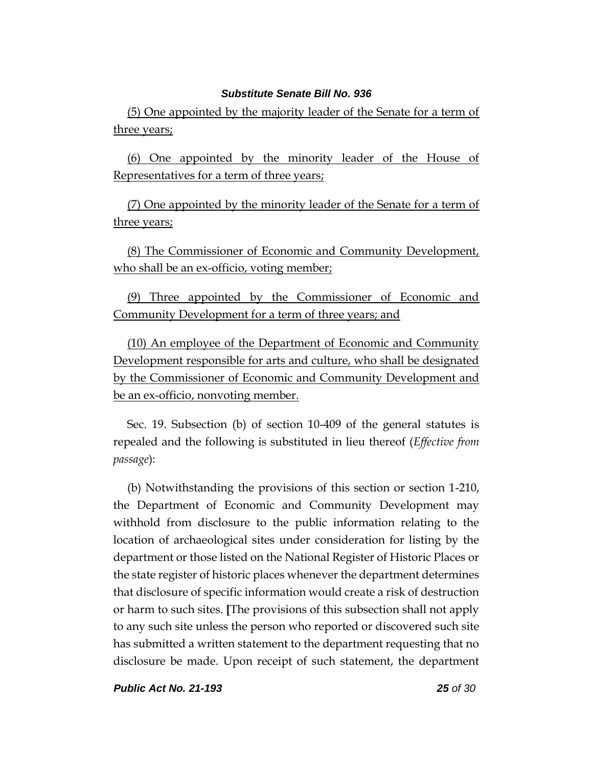(5) One appointed by the majority leader of the Senate for a term of three years;

(6) One appointed by the minority leader of the House of Representatives for a term of three years;

(7) One appointed by the minority leader of the Senate for a term of three years;

(8) The Commissioner of Economic and Community Development, who shall be an ex-officio, voting member;

(9) Three appointed by the Commissioner of Economic and Community Development for a term of three years; and

(10) An employee of the Department of Economic and Community Development responsible for arts and culture, who shall be designated by the Commissioner of Economic and Community Development and be an ex-officio, nonvoting member.

Sec. 19. Subsection (b) of section 10-409 of the general statutes is repealed and the following is substituted in lieu thereof (*Effective from passage*):

(b) Notwithstanding the provisions of this section or section 1-210, the Department of Economic and Community Development may withhold from disclosure to the public information relating to the location of archaeological sites under consideration for listing by the department or those listed on the National Register of Historic Places or the state register of historic places whenever the department determines that disclosure of specific information would create a risk of destruction or harm to such sites. **[**The provisions of this subsection shall not apply to any such site unless the person who reported or discovered such site has submitted a written statement to the department requesting that no disclosure be made. Upon receipt of such statement, the department

*Public Act No. 21-193 25 of 30*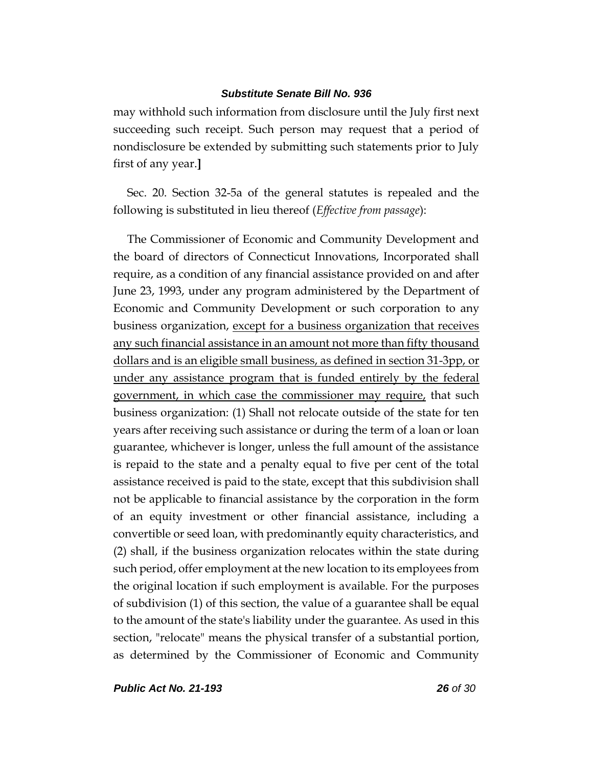may withhold such information from disclosure until the July first next succeeding such receipt. Such person may request that a period of nondisclosure be extended by submitting such statements prior to July first of any year.**]**

Sec. 20. Section 32-5a of the general statutes is repealed and the following is substituted in lieu thereof (*Effective from passage*):

The Commissioner of Economic and Community Development and the board of directors of Connecticut Innovations, Incorporated shall require, as a condition of any financial assistance provided on and after June 23, 1993, under any program administered by the Department of Economic and Community Development or such corporation to any business organization, except for a business organization that receives any such financial assistance in an amount not more than fifty thousand dollars and is an eligible small business, as defined in section 31-3pp, or under any assistance program that is funded entirely by the federal government, in which case the commissioner may require, that such business organization: (1) Shall not relocate outside of the state for ten years after receiving such assistance or during the term of a loan or loan guarantee, whichever is longer, unless the full amount of the assistance is repaid to the state and a penalty equal to five per cent of the total assistance received is paid to the state, except that this subdivision shall not be applicable to financial assistance by the corporation in the form of an equity investment or other financial assistance, including a convertible or seed loan, with predominantly equity characteristics, and (2) shall, if the business organization relocates within the state during such period, offer employment at the new location to its employees from the original location if such employment is available. For the purposes of subdivision (1) of this section, the value of a guarantee shall be equal to the amount of the state's liability under the guarantee. As used in this section, "relocate" means the physical transfer of a substantial portion, as determined by the Commissioner of Economic and Community

*Public Act No. 21-193 26 of 30*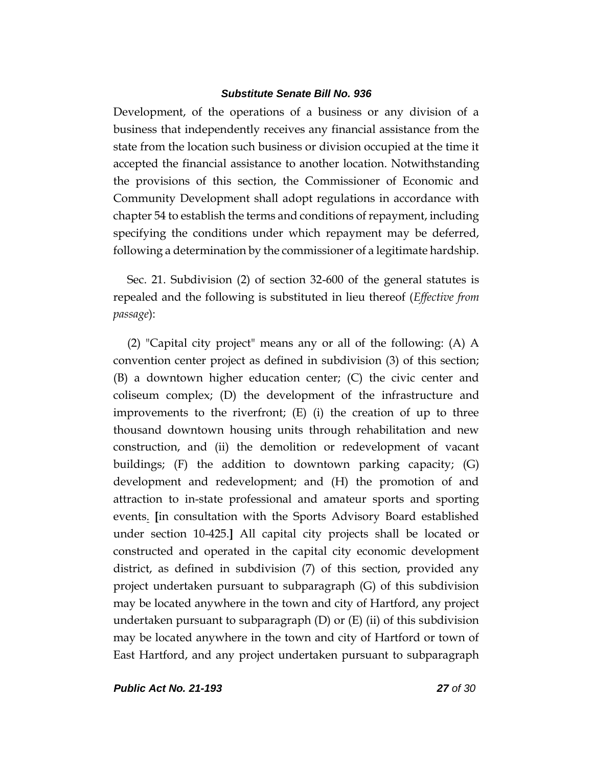Development, of the operations of a business or any division of a business that independently receives any financial assistance from the state from the location such business or division occupied at the time it accepted the financial assistance to another location. Notwithstanding the provisions of this section, the Commissioner of Economic and Community Development shall adopt regulations in accordance with chapter 54 to establish the terms and conditions of repayment, including specifying the conditions under which repayment may be deferred, following a determination by the commissioner of a legitimate hardship.

Sec. 21. Subdivision (2) of section 32-600 of the general statutes is repealed and the following is substituted in lieu thereof (*Effective from passage*):

(2) "Capital city project" means any or all of the following: (A) A convention center project as defined in subdivision (3) of this section; (B) a downtown higher education center; (C) the civic center and coliseum complex; (D) the development of the infrastructure and improvements to the riverfront; (E) (i) the creation of up to three thousand downtown housing units through rehabilitation and new construction, and (ii) the demolition or redevelopment of vacant buildings; (F) the addition to downtown parking capacity; (G) development and redevelopment; and (H) the promotion of and attraction to in-state professional and amateur sports and sporting events. **[**in consultation with the Sports Advisory Board established under section 10-425.**]** All capital city projects shall be located or constructed and operated in the capital city economic development district, as defined in subdivision (7) of this section, provided any project undertaken pursuant to subparagraph (G) of this subdivision may be located anywhere in the town and city of Hartford, any project undertaken pursuant to subparagraph  $(D)$  or  $(E)$  (ii) of this subdivision may be located anywhere in the town and city of Hartford or town of East Hartford, and any project undertaken pursuant to subparagraph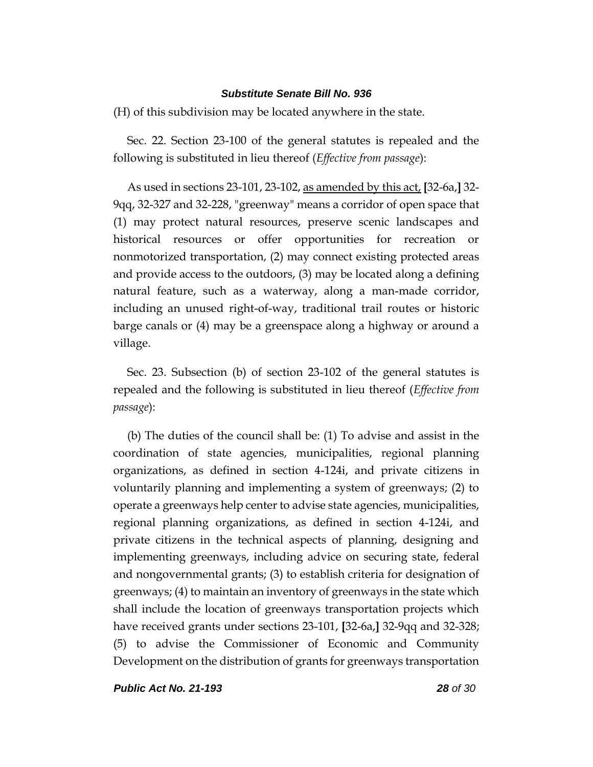(H) of this subdivision may be located anywhere in the state.

Sec. 22. Section 23-100 of the general statutes is repealed and the following is substituted in lieu thereof (*Effective from passage*):

As used in sections 23-101, 23-102, as amended by this act, **[**32-6a,**]** 32- 9qq, 32-327 and 32-228, "greenway" means a corridor of open space that (1) may protect natural resources, preserve scenic landscapes and historical resources or offer opportunities for recreation or nonmotorized transportation, (2) may connect existing protected areas and provide access to the outdoors, (3) may be located along a defining natural feature, such as a waterway, along a man-made corridor, including an unused right-of-way, traditional trail routes or historic barge canals or (4) may be a greenspace along a highway or around a village.

Sec. 23. Subsection (b) of section 23-102 of the general statutes is repealed and the following is substituted in lieu thereof (*Effective from passage*):

(b) The duties of the council shall be: (1) To advise and assist in the coordination of state agencies, municipalities, regional planning organizations, as defined in section 4-124i, and private citizens in voluntarily planning and implementing a system of greenways; (2) to operate a greenways help center to advise state agencies, municipalities, regional planning organizations, as defined in section 4-124i, and private citizens in the technical aspects of planning, designing and implementing greenways, including advice on securing state, federal and nongovernmental grants; (3) to establish criteria for designation of greenways; (4) to maintain an inventory of greenways in the state which shall include the location of greenways transportation projects which have received grants under sections 23-101, **[**32-6a,**]** 32-9qq and 32-328; (5) to advise the Commissioner of Economic and Community Development on the distribution of grants for greenways transportation

*Public Act No. 21-193 28 of 30*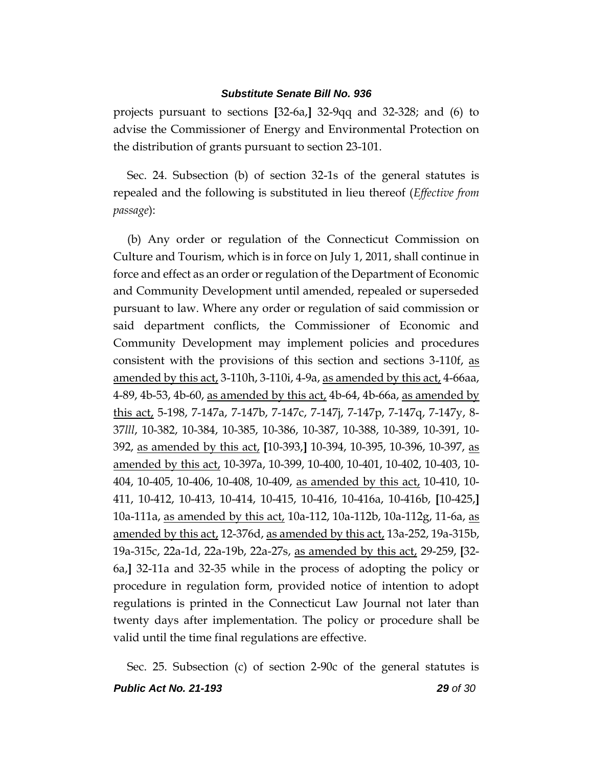projects pursuant to sections **[**32-6a,**]** 32-9qq and 32-328; and (6) to advise the Commissioner of Energy and Environmental Protection on the distribution of grants pursuant to section 23-101.

Sec. 24. Subsection (b) of section 32-1s of the general statutes is repealed and the following is substituted in lieu thereof (*Effective from passage*):

(b) Any order or regulation of the Connecticut Commission on Culture and Tourism, which is in force on July 1, 2011, shall continue in force and effect as an order or regulation of the Department of Economic and Community Development until amended, repealed or superseded pursuant to law. Where any order or regulation of said commission or said department conflicts, the Commissioner of Economic and Community Development may implement policies and procedures consistent with the provisions of this section and sections 3-110f, as amended by this act, 3-110h, 3-110i, 4-9a, as amended by this act, 4-66aa, 4-89, 4b-53, 4b-60, as amended by this act, 4b-64, 4b-66a, as amended by this act, 5-198, 7-147a, 7-147b, 7-147c, 7-147j, 7-147p, 7-147q, 7-147y, 8- 37*lll*, 10-382, 10-384, 10-385, 10-386, 10-387, 10-388, 10-389, 10-391, 10- 392, as amended by this act, **[**10-393,**]** 10-394, 10-395, 10-396, 10-397, as amended by this act, 10-397a, 10-399, 10-400, 10-401, 10-402, 10-403, 10- 404, 10-405, 10-406, 10-408, 10-409, as amended by this act, 10-410, 10- 411, 10-412, 10-413, 10-414, 10-415, 10-416, 10-416a, 10-416b, **[**10-425,**]** 10a-111a, as amended by this act, 10a-112, 10a-112b, 10a-112g, 11-6a, as amended by this act, 12-376d, as amended by this act, 13a-252, 19a-315b, 19a-315c, 22a-1d, 22a-19b, 22a-27s, as amended by this act, 29-259, **[**32- 6a,**]** 32-11a and 32-35 while in the process of adopting the policy or procedure in regulation form, provided notice of intention to adopt regulations is printed in the Connecticut Law Journal not later than twenty days after implementation. The policy or procedure shall be valid until the time final regulations are effective.

*Public Act No. 21-193 29 of 30* Sec. 25. Subsection (c) of section 2-90c of the general statutes is